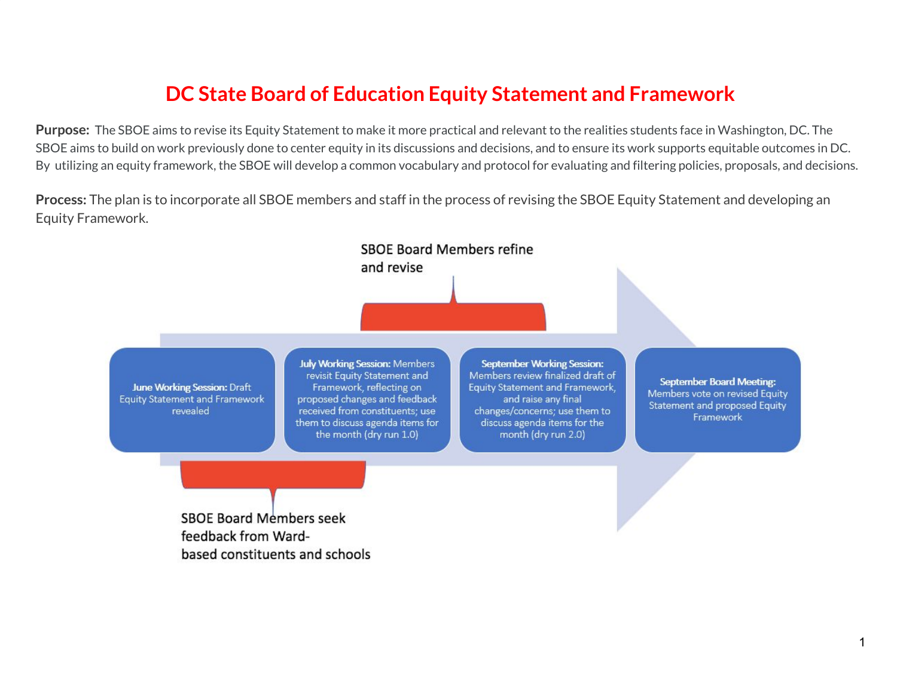### **DC State Board of Education Equity Statement and Framework**

**Purpose:** The SBOE aims to revise its Equity Statement to make it more practical and relevant to the realities students face in Washington, DC. The SBOE aims to build on work previously done to center equity in its discussions and decisions, and to ensure its work supports equitable outcomes in DC. By utilizing an equity framework, the SBOE will develop a common vocabulary and protocol for evaluating and filtering policies, proposals, and decisions.

**Process:** The plan is to incorporate all SBOE members and staff in the process of revising the SBOE Equity Statement and developing an Equity Framework.

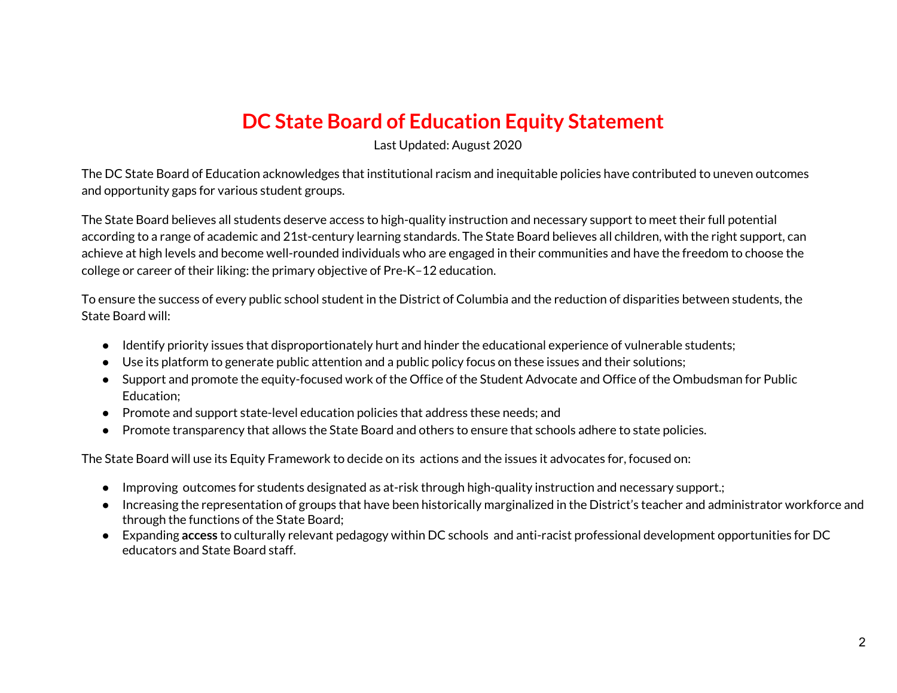### **DC State Board of Education Equity Statement**

Last Updated: August 2020

The DC State Board of Education acknowledges that institutional racism and inequitable policies have contributed to uneven outcomes and opportunity gaps for various student groups.

The State Board believes all students deserve access to high-quality instruction and necessary support to meet their full potential according to a range of academic and 21st-century learning standards. The State Board believes all children, with the right support, can achieve at high levels and become well-rounded individuals who are engaged in their communities and have the freedom to choose the college or career of their liking: the primary objective of Pre-K–12 education.

To ensure the success of every public school student in the District of Columbia and the reduction of disparities between students, the State Board will:

- Identify priority issues that disproportionately hurt and hinder the educational experience of vulnerable students;
- Use its platform to generate public attention and a public policy focus on these issues and their solutions;
- Support and promote the equity-focused work of the Office of the Student Advocate and Office of the Ombudsman for Public Education;
- Promote and support state-level education policies that address these needs; and
- Promote transparency that allows the State Board and others to ensure that schools adhere to state policies.

The State Board will use its Equity Framework to decide on its actions and the issues it advocates for, focused on:

- Improving outcomes for students designated as at-risk through high-quality instruction and necessary support.;
- Increasing the representation of groups that have been historically marginalized in the District's teacher and administrator workforce and through the functions of the State Board;
- Expanding **access** to culturally relevant pedagogy within DC schools and anti-racist professional development opportunities for DC educators and State Board staff.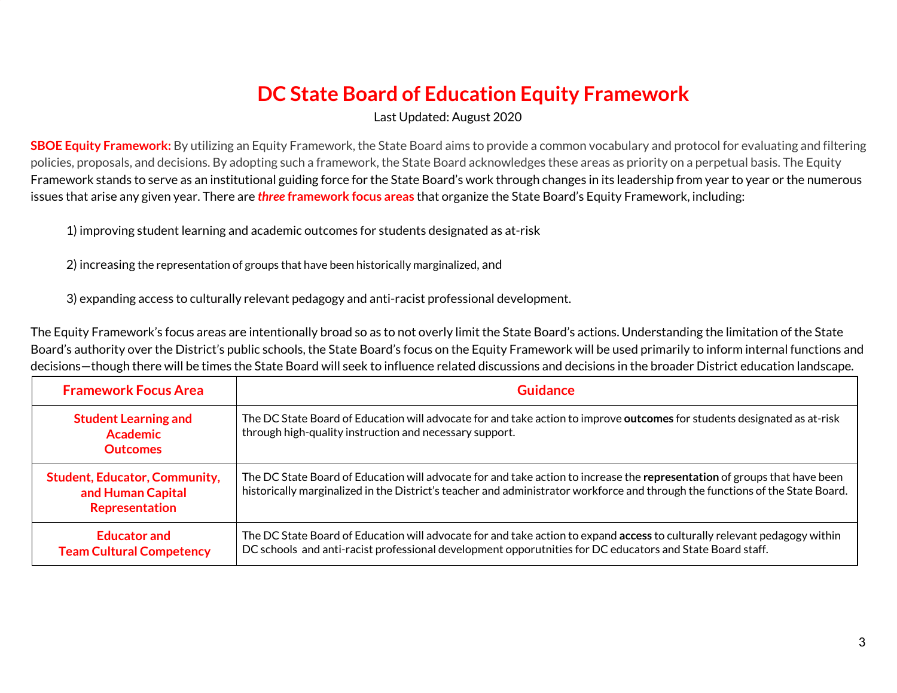# **DC State Board of Education Equity Framework**

Last Updated: August 2020

**SBOE Equity Framework:** By utilizing an Equity Framework, the State Board aims to provide a common vocabulary and protocol for evaluating and filtering policies, proposals, and decisions. By adopting such a framework, the State Board acknowledges these areas as priority on a perpetual basis. The Equity Framework stands to serve as an institutional guiding force for the State Board's work through changes in its leadership from year to year or the numerous issues that arise any given year. There are *three* **framework focus areas** that organize the State Board's Equity Framework, including:

1) improving student learning and academic outcomes for students designated as at-risk

2) increasing the representation of groups that have been historically marginalized, and

3) expanding access to culturally relevant pedagogy and anti-racist professional development.

The Equity Framework's focus areas are intentionally broad so as to not overly limit the State Board's actions. Understanding the limitation of the State Board's authority over the District's public schools, the State Board's focus on the Equity Framework will be used primarily to inform internal functions and decisions—though there will be times the State Board will seek to influence related discussions and decisions in the broader District education landscape.

| <b>Framework Focus Area</b>                                                 | <b>Guidance</b>                                                                                                                                                                                                                                            |
|-----------------------------------------------------------------------------|------------------------------------------------------------------------------------------------------------------------------------------------------------------------------------------------------------------------------------------------------------|
| <b>Student Learning and</b><br><b>Academic</b><br><b>Outcomes</b>           | The DC State Board of Education will advocate for and take action to improve outcomes for students designated as at-risk<br>through high-quality instruction and necessary support.                                                                        |
| <b>Student, Educator, Community,</b><br>and Human Capital<br>Representation | The DC State Board of Education will advocate for and take action to increase the representation of groups that have been<br>historically marginalized in the District's teacher and administrator workforce and through the functions of the State Board. |
| <b>Educator and</b><br><b>Team Cultural Competency</b>                      | The DC State Board of Education will advocate for and take action to expand access to culturally relevant pedagogy within<br>DC schools and anti-racist professional development opporutnities for DC educators and State Board staff.                     |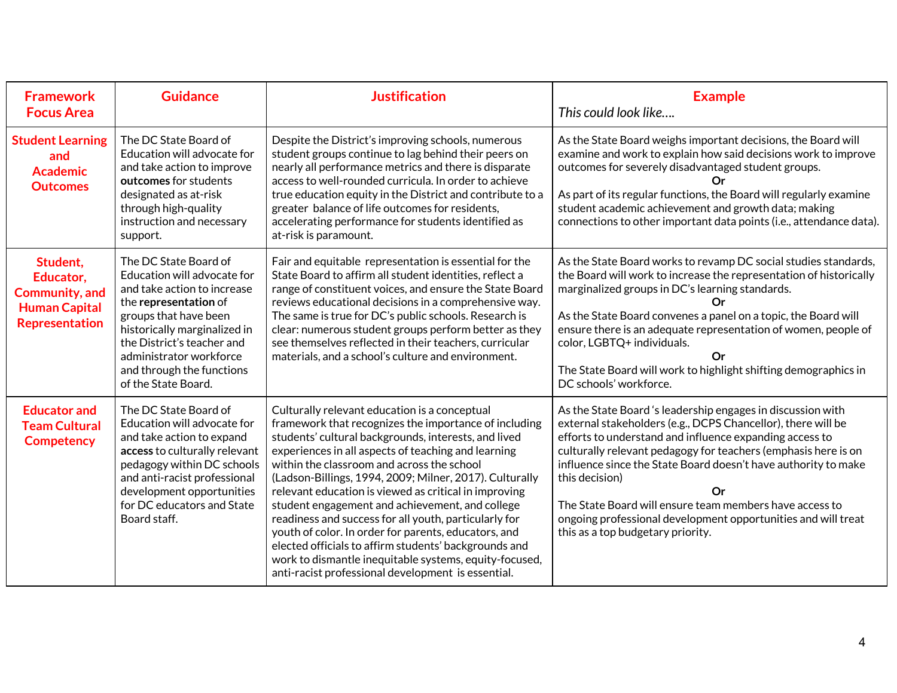| <b>Framework</b><br><b>Focus Area</b>                                                    | <b>Guidance</b>                                                                                                                                                                                                                                                                    | <b>Justification</b>                                                                                                                                                                                                                                                                                                                                                                                                                                                                                                                                                                                                                                                                                                                 | <b>Example</b><br>This could look like                                                                                                                                                                                                                                                                                                                                                                                                                                                                              |
|------------------------------------------------------------------------------------------|------------------------------------------------------------------------------------------------------------------------------------------------------------------------------------------------------------------------------------------------------------------------------------|--------------------------------------------------------------------------------------------------------------------------------------------------------------------------------------------------------------------------------------------------------------------------------------------------------------------------------------------------------------------------------------------------------------------------------------------------------------------------------------------------------------------------------------------------------------------------------------------------------------------------------------------------------------------------------------------------------------------------------------|---------------------------------------------------------------------------------------------------------------------------------------------------------------------------------------------------------------------------------------------------------------------------------------------------------------------------------------------------------------------------------------------------------------------------------------------------------------------------------------------------------------------|
| <b>Student Learning</b><br>and<br><b>Academic</b><br><b>Outcomes</b>                     | The DC State Board of<br>Education will advocate for<br>and take action to improve<br>outcomes for students<br>designated as at-risk<br>through high-quality<br>instruction and necessary<br>support.                                                                              | Despite the District's improving schools, numerous<br>student groups continue to lag behind their peers on<br>nearly all performance metrics and there is disparate<br>access to well-rounded curricula. In order to achieve<br>true education equity in the District and contribute to a<br>greater balance of life outcomes for residents,<br>accelerating performance for students identified as<br>at-risk is paramount.                                                                                                                                                                                                                                                                                                         | As the State Board weighs important decisions, the Board will<br>examine and work to explain how said decisions work to improve<br>outcomes for severely disadvantaged student groups.<br>Ωr<br>As part of its regular functions, the Board will regularly examine<br>student academic achievement and growth data; making<br>connections to other important data points (i.e., attendance data).                                                                                                                   |
| Student,<br>Educator,<br>Community, and<br><b>Human Capital</b><br><b>Representation</b> | The DC State Board of<br>Education will advocate for<br>and take action to increase<br>the representation of<br>groups that have been<br>historically marginalized in<br>the District's teacher and<br>administrator workforce<br>and through the functions<br>of the State Board. | Fair and equitable representation is essential for the<br>State Board to affirm all student identities, reflect a<br>range of constituent voices, and ensure the State Board<br>reviews educational decisions in a comprehensive way.<br>The same is true for DC's public schools. Research is<br>clear: numerous student groups perform better as they<br>see themselves reflected in their teachers, curricular<br>materials, and a school's culture and environment.                                                                                                                                                                                                                                                              | As the State Board works to revamp DC social studies standards,<br>the Board will work to increase the representation of historically<br>marginalized groups in DC's learning standards.<br>Оr<br>As the State Board convenes a panel on a topic, the Board will<br>ensure there is an adequate representation of women, people of<br>color, LGBTQ+ individuals.<br>Or<br>The State Board will work to highlight shifting demographics in<br>DC schools' workforce.                                                 |
| <b>Educator and</b><br><b>Team Cultural</b><br><b>Competency</b>                         | The DC State Board of<br>Education will advocate for<br>and take action to expand<br>access to culturally relevant<br>pedagogy within DC schools<br>and anti-racist professional<br>development opportunities<br>for DC educators and State<br>Board staff.                        | Culturally relevant education is a conceptual<br>framework that recognizes the importance of including<br>students' cultural backgrounds, interests, and lived<br>experiences in all aspects of teaching and learning<br>within the classroom and across the school<br>(Ladson-Billings, 1994, 2009; Milner, 2017). Culturally<br>relevant education is viewed as critical in improving<br>student engagement and achievement, and college<br>readiness and success for all youth, particularly for<br>youth of color. In order for parents, educators, and<br>elected officials to affirm students' backgrounds and<br>work to dismantle inequitable systems, equity-focused,<br>anti-racist professional development is essential. | As the State Board 's leadership engages in discussion with<br>external stakeholders (e.g., DCPS Chancellor), there will be<br>efforts to understand and influence expanding access to<br>culturally relevant pedagogy for teachers (emphasis here is on<br>influence since the State Board doesn't have authority to make<br>this decision)<br>Or<br>The State Board will ensure team members have access to<br>ongoing professional development opportunities and will treat<br>this as a top budgetary priority. |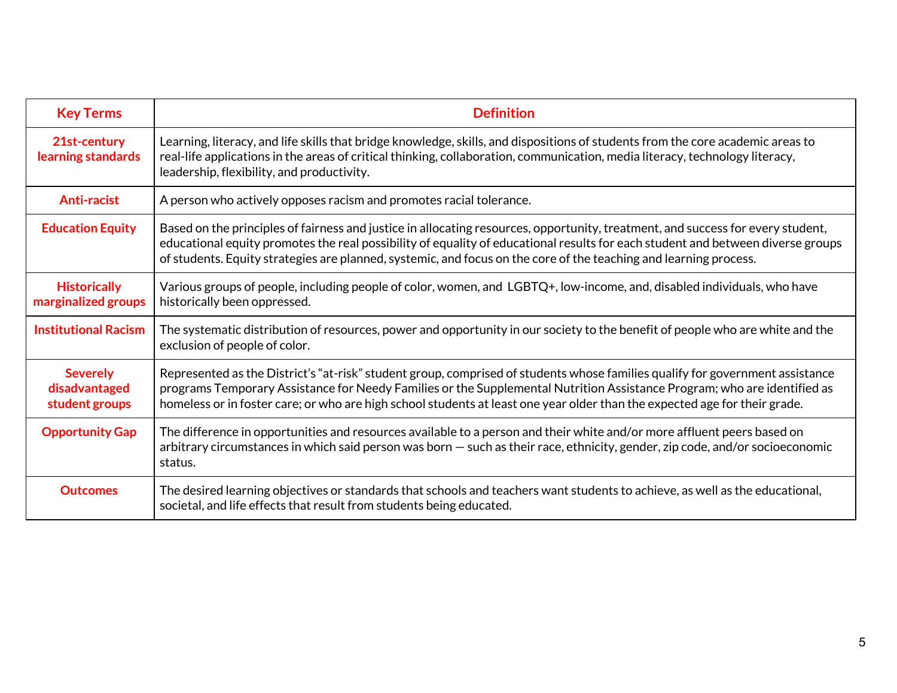| <b>Key Terms</b>                                   | <b>Definition</b>                                                                                                                                                                                                                                                                                                                                                                       |  |
|----------------------------------------------------|-----------------------------------------------------------------------------------------------------------------------------------------------------------------------------------------------------------------------------------------------------------------------------------------------------------------------------------------------------------------------------------------|--|
| 21st-century<br>learning standards                 | Learning, literacy, and life skills that bridge knowledge, skills, and dispositions of students from the core academic areas to<br>real-life applications in the areas of critical thinking, collaboration, communication, media literacy, technology literacy,<br>leadership, flexibility, and productivity.                                                                           |  |
| <b>Anti-racist</b>                                 | A person who actively opposes racism and promotes racial tolerance.                                                                                                                                                                                                                                                                                                                     |  |
| <b>Education Equity</b>                            | Based on the principles of fairness and justice in allocating resources, opportunity, treatment, and success for every student,<br>educational equity promotes the real possibility of equality of educational results for each student and between diverse groups<br>of students. Equity strategies are planned, systemic, and focus on the core of the teaching and learning process. |  |
| <b>Historically</b><br>marginalized groups         | Various groups of people, including people of color, women, and LGBTQ+, low-income, and, disabled individuals, who have<br>historically been oppressed.                                                                                                                                                                                                                                 |  |
| <b>Institutional Racism</b>                        | The systematic distribution of resources, power and opportunity in our society to the benefit of people who are white and the<br>exclusion of people of color.                                                                                                                                                                                                                          |  |
| <b>Severely</b><br>disadvantaged<br>student groups | Represented as the District's "at-risk" student group, comprised of students whose families qualify for government assistance<br>programs Temporary Assistance for Needy Families or the Supplemental Nutrition Assistance Program; who are identified as<br>homeless or in foster care; or who are high school students at least one year older than the expected age for their grade. |  |
| <b>Opportunity Gap</b>                             | The difference in opportunities and resources available to a person and their white and/or more affluent peers based on<br>arbitrary circumstances in which said person was born – such as their race, ethnicity, gender, zip code, and/or socioeconomic<br>status.                                                                                                                     |  |
| <b>Outcomes</b>                                    | The desired learning objectives or standards that schools and teachers want students to achieve, as well as the educational,<br>societal, and life effects that result from students being educated.                                                                                                                                                                                    |  |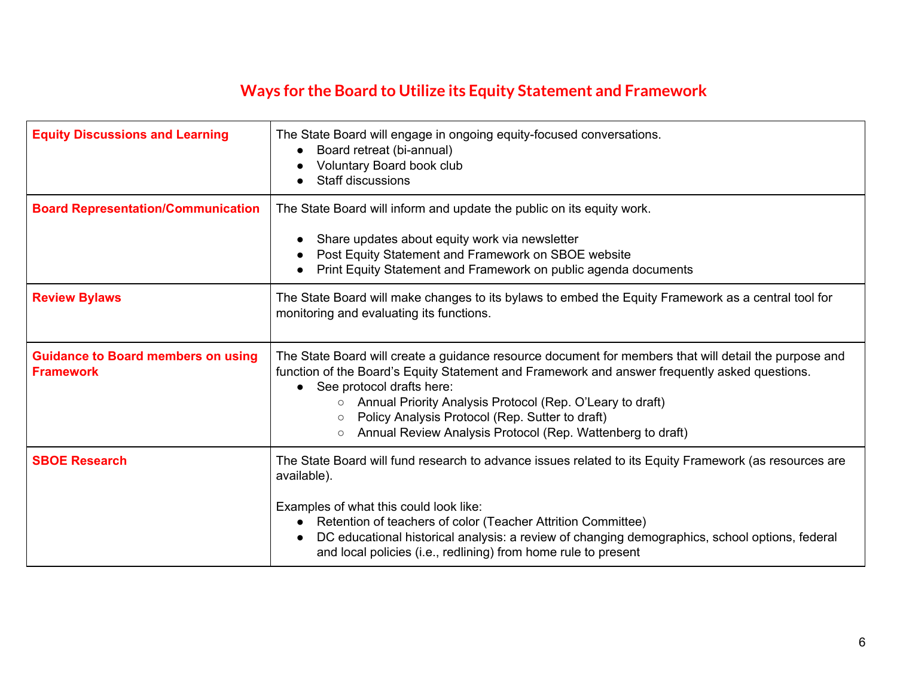### **Ways for the Board to Utilize its Equity Statement and Framework**

| <b>Equity Discussions and Learning</b>                        | The State Board will engage in ongoing equity-focused conversations.<br>Board retreat (bi-annual)<br>Voluntary Board book club<br>Staff discussions                                                                                                                                                                                                                                                                                                  |
|---------------------------------------------------------------|------------------------------------------------------------------------------------------------------------------------------------------------------------------------------------------------------------------------------------------------------------------------------------------------------------------------------------------------------------------------------------------------------------------------------------------------------|
| <b>Board Representation/Communication</b>                     | The State Board will inform and update the public on its equity work.<br>Share updates about equity work via newsletter<br>Post Equity Statement and Framework on SBOE website<br>Print Equity Statement and Framework on public agenda documents                                                                                                                                                                                                    |
| <b>Review Bylaws</b>                                          | The State Board will make changes to its bylaws to embed the Equity Framework as a central tool for<br>monitoring and evaluating its functions.                                                                                                                                                                                                                                                                                                      |
| <b>Guidance to Board members on using</b><br><b>Framework</b> | The State Board will create a guidance resource document for members that will detail the purpose and<br>function of the Board's Equity Statement and Framework and answer frequently asked questions.<br>• See protocol drafts here:<br>Annual Priority Analysis Protocol (Rep. O'Leary to draft)<br>$\circ$<br>Policy Analysis Protocol (Rep. Sutter to draft)<br>$\circ$<br>Annual Review Analysis Protocol (Rep. Wattenberg to draft)<br>$\circ$ |
| <b>SBOE Research</b>                                          | The State Board will fund research to advance issues related to its Equity Framework (as resources are<br>available).<br>Examples of what this could look like:<br>Retention of teachers of color (Teacher Attrition Committee)<br>$\bullet$<br>DC educational historical analysis: a review of changing demographics, school options, federal<br>and local policies (i.e., redlining) from home rule to present                                     |